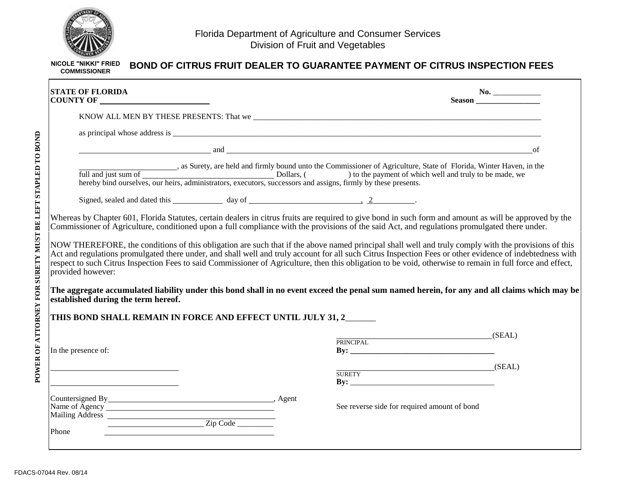

| <b>STATE OF FLORIDA</b>                                                                                                 |          | No.                                                                                                                                                                                                                                                                                                                                                                                                                                                                                                                                                                                                                           |
|-------------------------------------------------------------------------------------------------------------------------|----------|-------------------------------------------------------------------------------------------------------------------------------------------------------------------------------------------------------------------------------------------------------------------------------------------------------------------------------------------------------------------------------------------------------------------------------------------------------------------------------------------------------------------------------------------------------------------------------------------------------------------------------|
|                                                                                                                         |          |                                                                                                                                                                                                                                                                                                                                                                                                                                                                                                                                                                                                                               |
|                                                                                                                         |          |                                                                                                                                                                                                                                                                                                                                                                                                                                                                                                                                                                                                                               |
|                                                                                                                         |          | and and a series of the series of the series of the series of the series of the series of the series of the series of the series of the series of the series of the series of the series of the series of the series of the se<br>of                                                                                                                                                                                                                                                                                                                                                                                          |
|                                                                                                                         |          | as Surety, are held and firmly bound unto the Commissioner of Agriculture, State of Florida, Winter Haven, in the Dollars, ( bollars, ( bollars, ( bollars, ( bollars, ( bollars, ( bollars, executors, successors and assigns                                                                                                                                                                                                                                                                                                                                                                                                |
|                                                                                                                         |          |                                                                                                                                                                                                                                                                                                                                                                                                                                                                                                                                                                                                                               |
|                                                                                                                         |          |                                                                                                                                                                                                                                                                                                                                                                                                                                                                                                                                                                                                                               |
|                                                                                                                         |          |                                                                                                                                                                                                                                                                                                                                                                                                                                                                                                                                                                                                                               |
| provided however:<br>established during the term hereof.<br>THIS BOND SHALL REMAIN IN FORCE AND EFFECT UNTIL JULY 31, 2 |          | NOW THEREFORE, the conditions of this obligation are such that if the above named principal shall well and truly comply with the provisions of this<br>Act and regulations promulgated there under, and shall well and truly account for all such Citrus Inspection Fees or other evidence of indebtedness with<br>respect to such Citrus Inspection Fees to said Commissioner of Agriculture, then this obligation to be void, otherwise to remain in full force and effect,<br>The aggregate accumulated liability under this bond shall in no event exceed the penal sum named herein, for any and all claims which may be |
| In the presence of:                                                                                                     |          | $SEAL$ )<br>PRINCIPAL                                                                                                                                                                                                                                                                                                                                                                                                                                                                                                                                                                                                         |
|                                                                                                                         |          | $SEAL$ )<br><b>SURETY</b>                                                                                                                                                                                                                                                                                                                                                                                                                                                                                                                                                                                                     |
| Name of Agency <u>Contains and Agency</u><br>Mailing Address                                                            | Zip Code | See reverse side for required amount of bond                                                                                                                                                                                                                                                                                                                                                                                                                                                                                                                                                                                  |